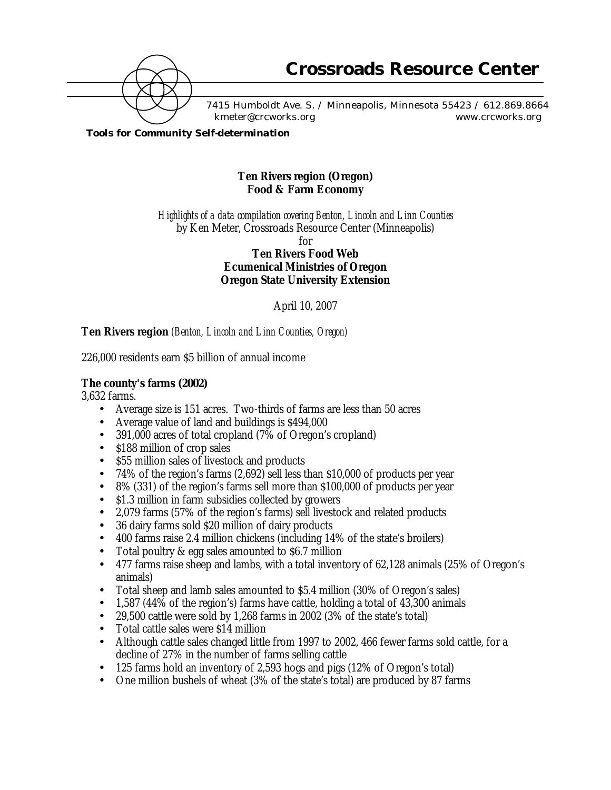

7415 Humboldt Ave. S. / Minneapolis, Minnesota 55423 / 612.869.8664 kmeter@crcworks.org www.crcworks.org

*Tools for Community Self-determination*

## **Ten Rivers region (Oregon) Food & Farm Economy**

*Highlights of a data compilation covering Benton, Lincoln and Linn Counties* by Ken Meter, Crossroads Resource Center (Minneapolis)

for

**Ten Rivers Food Web Ecumenical Ministries of Oregon Oregon State University Extension**

April 10, 2007

## **Ten Rivers region** *(Benton, Lincoln and Linn Counties, Oregon)*

226,000 residents earn \$5 billion of annual income

## **The county's farms (2002)**

3,632 farms.

- Average size is 151 acres. Two-thirds of farms are less than 50 acres
- Average value of land and buildings is \$494,000
- 391,000 acres of total cropland (7% of Oregon's cropland)
- \$188 million of crop sales
- \$55 million sales of livestock and products
- 74% of the region's farms (2,692) sell less than \$10,000 of products per year
- 8% (331) of the region's farms sell more than \$100,000 of products per year
- \$1.3 million in farm subsidies collected by growers
- 2,079 farms (57% of the region's farms) sell livestock and related products
- 36 dairy farms sold \$20 million of dairy products
- 400 farms raise 2.4 million chickens (including 14% of the state's broilers)
- Total poultry & egg sales amounted to \$6.7 million
- 477 farms raise sheep and lambs, with a total inventory of 62,128 animals (25% of Oregon's animals)
- Total sheep and lamb sales amounted to \$5.4 million (30% of Oregon's sales)
- 1,587 (44% of the region's) farms have cattle, holding a total of 43,300 animals
- 29,500 cattle were sold by 1,268 farms in 2002 (3% of the state's total)
- Total cattle sales were \$14 million
- Although cattle sales changed little from 1997 to 2002, 466 fewer farms sold cattle, for a decline of 27% in the number of farms selling cattle
- 125 farms hold an inventory of 2,593 hogs and pigs (12% of Oregon's total)
- One million bushels of wheat (3% of the state's total) are produced by 87 farms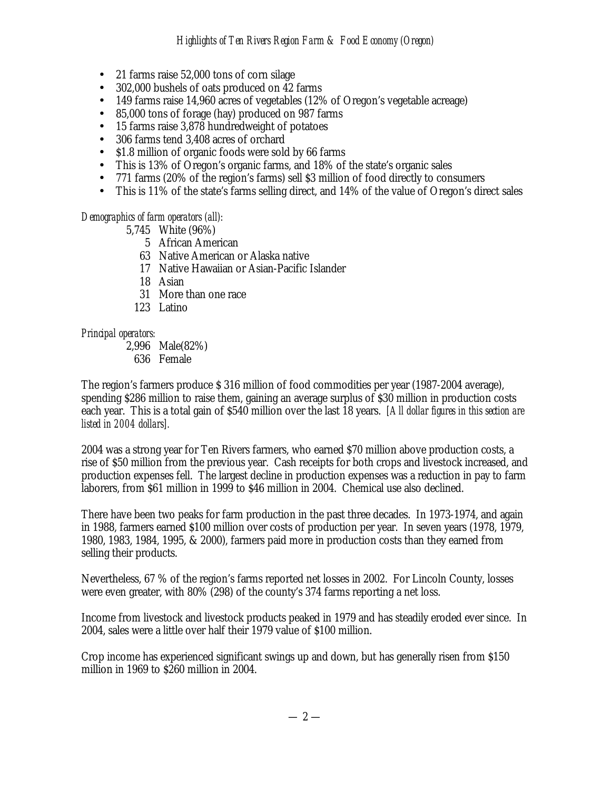- 21 farms raise 52,000 tons of corn silage
- 302,000 bushels of oats produced on 42 farms
- 149 farms raise 14,960 acres of vegetables (12% of Oregon's vegetable acreage)
- 85,000 tons of forage (hay) produced on 987 farms
- 15 farms raise 3,878 hundredweight of potatoes
- 306 farms tend 3,408 acres of orchard
- \$1.8 million of organic foods were sold by 66 farms
- This is 13% of Oregon's organic farms, and 18% of the state's organic sales
- 771 farms (20% of the region's farms) sell \$3 million of food directly to consumers
- This is 11% of the state's farms selling direct, and 14% of the value of Oregon's direct sales

### *Demographics of farm operators (all):*

- 5,745 White (96%)
	- 5 African American
	- 63 Native American or Alaska native
	- 17 Native Hawaiian or Asian-Pacific Islander
	- 18 Asian
	- 31 More than one race
	- 123 Latino

### *Principal operators:*

2,996 Male(82%) 636 Female

The region's farmers produce \$ 316 million of food commodities per year (1987-2004 average), spending \$286 million to raise them, gaining an average surplus of \$30 million in production costs each year. This is a total gain of \$540 million over the last 18 years. *[All dollar figures in this section are listed in 2004 dollars].*

2004 was a strong year for Ten Rivers farmers, who earned \$70 million above production costs, a rise of \$50 million from the previous year. Cash receipts for both crops and livestock increased, and production expenses fell. The largest decline in production expenses was a reduction in pay to farm laborers, from \$61 million in 1999 to \$46 million in 2004. Chemical use also declined.

There have been two peaks for farm production in the past three decades. In 1973-1974, and again in 1988, farmers earned \$100 million over costs of production per year. In seven years (1978, 1979, 1980, 1983, 1984, 1995, & 2000), farmers paid more in production costs than they earned from selling their products.

Nevertheless, 67 % of the region's farms reported net losses in 2002. For Lincoln County, losses were even greater, with 80% (298) of the county's 374 farms reporting a net loss.

Income from livestock and livestock products peaked in 1979 and has steadily eroded ever since. In 2004, sales were a little over half their 1979 value of \$100 million.

Crop income has experienced significant swings up and down, but has generally risen from \$150 million in 1969 to \$260 million in 2004.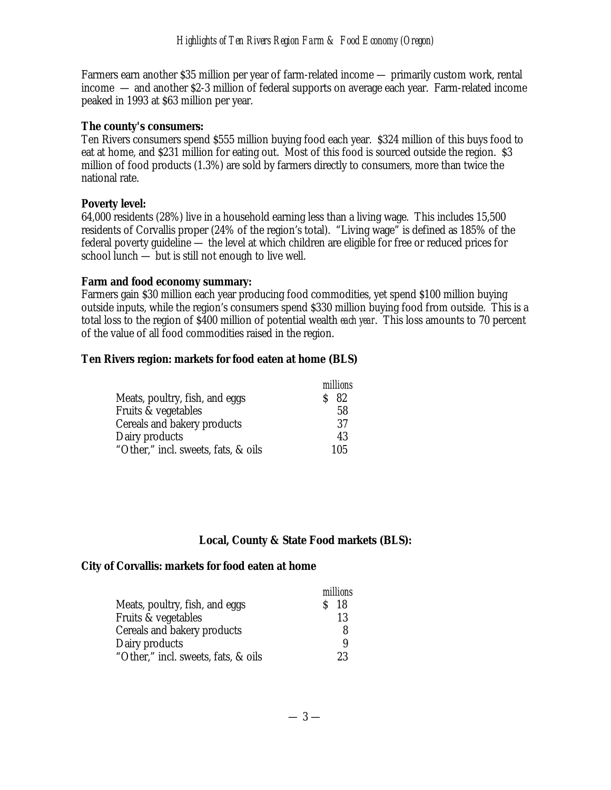Farmers earn another \$35 million per year of farm-related income — primarily custom work, rental income — and another \$2-3 million of federal supports on average each year. Farm-related income peaked in 1993 at \$63 million per year.

### **The county's consumers:**

Ten Rivers consumers spend \$555 million buying food each year. \$324 million of this buys food to eat at home, and \$231 million for eating out. Most of this food is sourced outside the region. \$3 million of food products (1.3%) are sold by farmers directly to consumers, more than twice the national rate.

### **Poverty level:**

64,000 residents (28%) live in a household earning less than a living wage. This includes 15,500 residents of Corvallis proper (24% of the region's total). "Living wage" is defined as 185% of the federal poverty guideline — the level at which children are eligible for free or reduced prices for school lunch — but is still not enough to live well.

### **Farm and food economy summary:**

Farmers gain \$30 million each year producing food commodities, yet spend \$100 million buying outside inputs, while the region's consumers spend \$330 million buying food from outside. This is a total loss to the region of \$400 million of potential wealth *each year*. This loss amounts to 70 percent of the value of all food commodities raised in the region.

### **Ten Rivers region: markets for food eaten at home (BLS)**

|                                     | millions |
|-------------------------------------|----------|
| Meats, poultry, fish, and eggs      | -82      |
| Fruits & vegetables                 | 58       |
| Cereals and bakery products         | 37       |
| Dairy products                      | 43       |
| "Other," incl. sweets, fats, & oils | 105      |

### **Local, County & State Food markets (BLS):**

#### **City of Corvallis: markets for food eaten at home**

|                                     | millions        |
|-------------------------------------|-----------------|
| Meats, poultry, fish, and eggs      | S <sub>18</sub> |
| Fruits & vegetables                 | 13              |
| Cereals and bakery products         | 8               |
| Dairy products                      | 9               |
| "Other," incl. sweets, fats, & oils | 23              |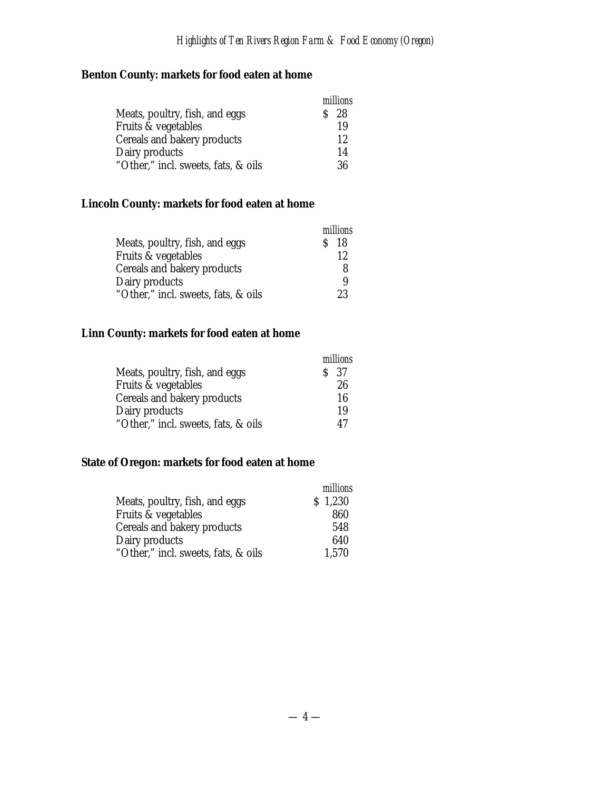# **Benton County: markets for food eaten at home**

|                                     | millions |
|-------------------------------------|----------|
| Meats, poultry, fish, and eggs      | $S$ 28   |
| Fruits & vegetables                 | 19       |
| Cereals and bakery products         | 12       |
| Dairy products                      | 14       |
| "Other," incl. sweets, fats, & oils | 36       |

# **Lincoln County: markets for food eaten at home**

|                                     | millions |
|-------------------------------------|----------|
| Meats, poultry, fish, and eggs      | S 18     |
| Fruits & vegetables                 | 12       |
| Cereals and bakery products         |          |
| Dairy products                      |          |
| "Other," incl. sweets, fats, & oils | 23       |

## **Linn County: markets for food eaten at home**

|                                     | millions        |
|-------------------------------------|-----------------|
| Meats, poultry, fish, and eggs      | S <sub>37</sub> |
| Fruits & vegetables                 | 26              |
| Cereals and bakery products         | 16              |
| Dairy products                      | 19              |
| "Other," incl. sweets, fats, & oils | 47              |

# **State of Oregon: markets for food eaten at home**

|                                     | millions |
|-------------------------------------|----------|
| Meats, poultry, fish, and eggs      | \$1,230  |
| Fruits & vegetables                 | 860      |
| Cereals and bakery products         | 548      |
| Dairy products                      | 640      |
| "Other," incl. sweets, fats, & oils | 1,570    |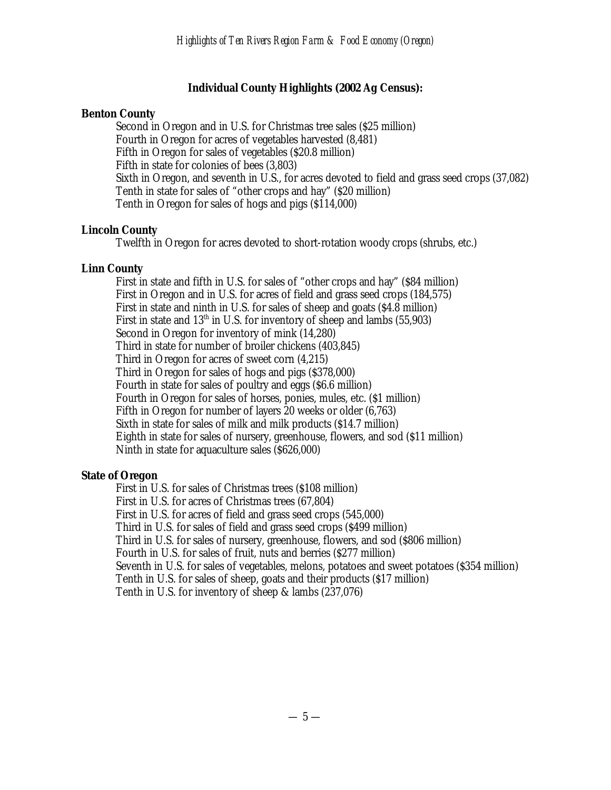## **Individual County Highlights (2002 Ag Census):**

## **Benton County**

Second in Oregon and in U.S. for Christmas tree sales (\$25 million) Fourth in Oregon for acres of vegetables harvested (8,481) Fifth in Oregon for sales of vegetables (\$20.8 million) Fifth in state for colonies of bees (3,803) Sixth in Oregon, and seventh in U.S., for acres devoted to field and grass seed crops (37,082) Tenth in state for sales of "other crops and hay" (\$20 million) Tenth in Oregon for sales of hogs and pigs (\$114,000)

## **Lincoln County**

Twelfth in Oregon for acres devoted to short-rotation woody crops (shrubs, etc.)

# **Linn County**

First in state and fifth in U.S. for sales of "other crops and hay" (\$84 million) First in Oregon and in U.S. for acres of field and grass seed crops (184,575) First in state and ninth in U.S. for sales of sheep and goats (\$4.8 million) First in state and  $13<sup>th</sup>$  in U.S. for inventory of sheep and lambs (55,903) Second in Oregon for inventory of mink (14,280) Third in state for number of broiler chickens (403,845) Third in Oregon for acres of sweet corn (4,215) Third in Oregon for sales of hogs and pigs (\$378,000) Fourth in state for sales of poultry and eggs (\$6.6 million) Fourth in Oregon for sales of horses, ponies, mules, etc. (\$1 million) Fifth in Oregon for number of layers 20 weeks or older (6,763) Sixth in state for sales of milk and milk products (\$14.7 million) Eighth in state for sales of nursery, greenhouse, flowers, and sod (\$11 million) Ninth in state for aquaculture sales (\$626,000)

## **State of Oregon**

First in U.S. for sales of Christmas trees (\$108 million) First in U.S. for acres of Christmas trees (67,804) First in U.S. for acres of field and grass seed crops (545,000) Third in U.S. for sales of field and grass seed crops (\$499 million) Third in U.S. for sales of nursery, greenhouse, flowers, and sod (\$806 million) Fourth in U.S. for sales of fruit, nuts and berries (\$277 million) Seventh in U.S. for sales of vegetables, melons, potatoes and sweet potatoes (\$354 million) Tenth in U.S. for sales of sheep, goats and their products (\$17 million) Tenth in U.S. for inventory of sheep & lambs (237,076)